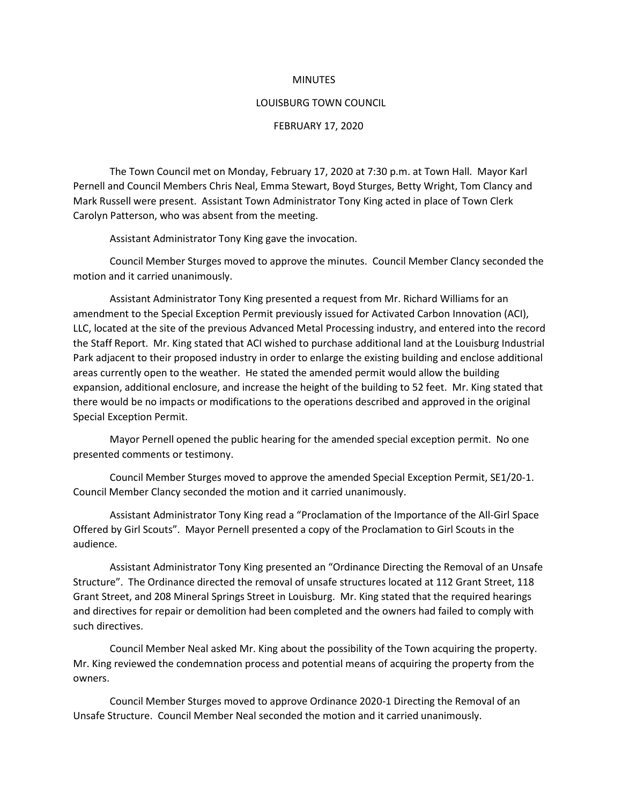## **MINUTES**

## LOUISBURG TOWN COUNCIL

## FEBRUARY 17, 2020

The Town Council met on Monday, February 17, 2020 at 7:30 p.m. at Town Hall. Mayor Karl Pernell and Council Members Chris Neal, Emma Stewart, Boyd Sturges, Betty Wright, Tom Clancy and Mark Russell were present. Assistant Town Administrator Tony King acted in place of Town Clerk Carolyn Patterson, who was absent from the meeting.

Assistant Administrator Tony King gave the invocation.

Council Member Sturges moved to approve the minutes. Council Member Clancy seconded the motion and it carried unanimously.

Assistant Administrator Tony King presented a request from Mr. Richard Williams for an amendment to the Special Exception Permit previously issued for Activated Carbon Innovation (ACI), LLC, located at the site of the previous Advanced Metal Processing industry, and entered into the record the Staff Report. Mr. King stated that ACI wished to purchase additional land at the Louisburg Industrial Park adjacent to their proposed industry in order to enlarge the existing building and enclose additional areas currently open to the weather. He stated the amended permit would allow the building expansion, additional enclosure, and increase the height of the building to 52 feet. Mr. King stated that there would be no impacts or modifications to the operations described and approved in the original Special Exception Permit.

Mayor Pernell opened the public hearing for the amended special exception permit. No one presented comments or testimony.

Council Member Sturges moved to approve the amended Special Exception Permit, SE1/20-1. Council Member Clancy seconded the motion and it carried unanimously.

Assistant Administrator Tony King read a "Proclamation of the Importance of the All-Girl Space Offered by Girl Scouts". Mayor Pernell presented a copy of the Proclamation to Girl Scouts in the audience.

Assistant Administrator Tony King presented an "Ordinance Directing the Removal of an Unsafe Structure". The Ordinance directed the removal of unsafe structures located at 112 Grant Street, 118 Grant Street, and 208 Mineral Springs Street in Louisburg. Mr. King stated that the required hearings and directives for repair or demolition had been completed and the owners had failed to comply with such directives.

Council Member Neal asked Mr. King about the possibility of the Town acquiring the property. Mr. King reviewed the condemnation process and potential means of acquiring the property from the owners.

Council Member Sturges moved to approve Ordinance 2020-1 Directing the Removal of an Unsafe Structure. Council Member Neal seconded the motion and it carried unanimously.